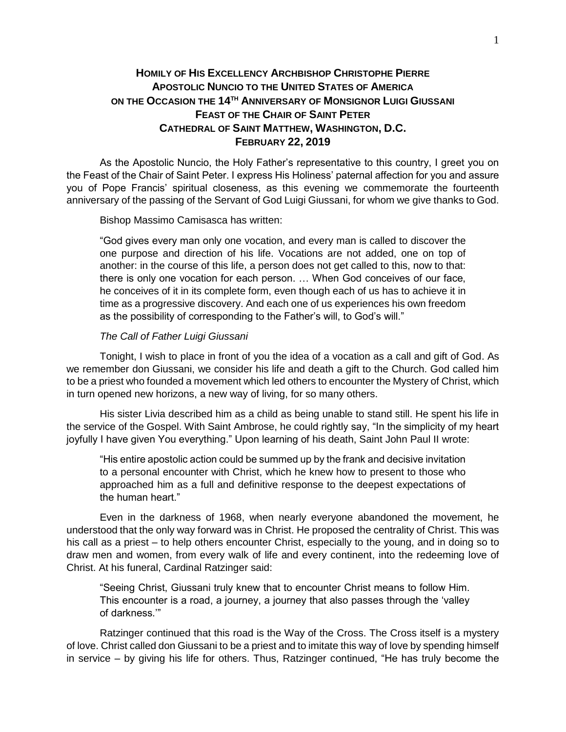## **HOMILY OF HIS EXCELLENCY ARCHBISHOP CHRISTOPHE PIERRE APOSTOLIC NUNCIO TO THE UNITED STATES OF AMERICA ON THE OCCASION THE 14TH ANNIVERSARY OF MONSIGNOR LUIGI GIUSSANI FEAST OF THE CHAIR OF SAINT PETER CATHEDRAL OF SAINT MATTHEW, WASHINGTON, D.C. FEBRUARY 22, 2019**

As the Apostolic Nuncio, the Holy Father's representative to this country, I greet you on the Feast of the Chair of Saint Peter. I express His Holiness' paternal affection for you and assure you of Pope Francis' spiritual closeness, as this evening we commemorate the fourteenth anniversary of the passing of the Servant of God Luigi Giussani, for whom we give thanks to God.

Bishop Massimo Camisasca has written:

"God gives every man only one vocation, and every man is called to discover the one purpose and direction of his life. Vocations are not added, one on top of another: in the course of this life, a person does not get called to this, now to that: there is only one vocation for each person. … When God conceives of our face, he conceives of it in its complete form, even though each of us has to achieve it in time as a progressive discovery. And each one of us experiences his own freedom as the possibility of corresponding to the Father's will, to God's will."

## *The Call of Father Luigi Giussani*

Tonight, I wish to place in front of you the idea of a vocation as a call and gift of God. As we remember don Giussani, we consider his life and death a gift to the Church. God called him to be a priest who founded a movement which led others to encounter the Mystery of Christ, which in turn opened new horizons, a new way of living, for so many others.

His sister Livia described him as a child as being unable to stand still. He spent his life in the service of the Gospel. With Saint Ambrose, he could rightly say, "In the simplicity of my heart joyfully I have given You everything." Upon learning of his death, Saint John Paul II wrote:

"His entire apostolic action could be summed up by the frank and decisive invitation to a personal encounter with Christ, which he knew how to present to those who approached him as a full and definitive response to the deepest expectations of the human heart."

Even in the darkness of 1968, when nearly everyone abandoned the movement, he understood that the only way forward was in Christ. He proposed the centrality of Christ. This was his call as a priest – to help others encounter Christ, especially to the young, and in doing so to draw men and women, from every walk of life and every continent, into the redeeming love of Christ. At his funeral, Cardinal Ratzinger said:

"Seeing Christ, Giussani truly knew that to encounter Christ means to follow Him. This encounter is a road, a journey, a journey that also passes through the 'valley of darkness.'"

Ratzinger continued that this road is the Way of the Cross. The Cross itself is a mystery of love. Christ called don Giussani to be a priest and to imitate this way of love by spending himself in service – by giving his life for others. Thus, Ratzinger continued, "He has truly become the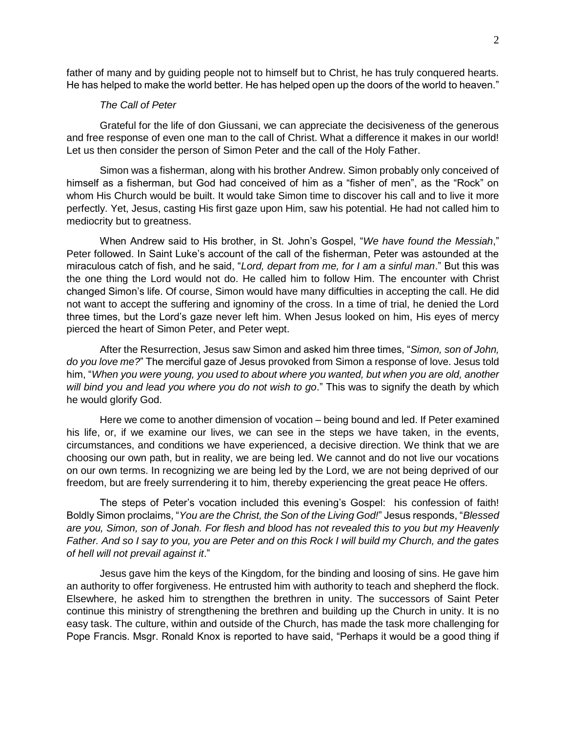father of many and by guiding people not to himself but to Christ, he has truly conquered hearts. He has helped to make the world better. He has helped open up the doors of the world to heaven."

## *The Call of Peter*

Grateful for the life of don Giussani, we can appreciate the decisiveness of the generous and free response of even one man to the call of Christ. What a difference it makes in our world! Let us then consider the person of Simon Peter and the call of the Holy Father.

Simon was a fisherman, along with his brother Andrew. Simon probably only conceived of himself as a fisherman, but God had conceived of him as a "fisher of men", as the "Rock" on whom His Church would be built. It would take Simon time to discover his call and to live it more perfectly. Yet, Jesus, casting His first gaze upon Him, saw his potential. He had not called him to mediocrity but to greatness.

When Andrew said to His brother, in St. John's Gospel, "*We have found the Messiah*," Peter followed. In Saint Luke's account of the call of the fisherman, Peter was astounded at the miraculous catch of fish, and he said, "*Lord, depart from me, for I am a sinful man*." But this was the one thing the Lord would not do. He called him to follow Him. The encounter with Christ changed Simon's life. Of course, Simon would have many difficulties in accepting the call. He did not want to accept the suffering and ignominy of the cross. In a time of trial, he denied the Lord three times, but the Lord's gaze never left him. When Jesus looked on him, His eyes of mercy pierced the heart of Simon Peter, and Peter wept.

After the Resurrection, Jesus saw Simon and asked him three times, "*Simon, son of John, do you love me?*" The merciful gaze of Jesus provoked from Simon a response of love. Jesus told him, "*When you were young, you used to about where you wanted, but when you are old, another will bind you and lead you where you do not wish to go*." This was to signify the death by which he would glorify God.

Here we come to another dimension of vocation – being bound and led. If Peter examined his life, or, if we examine our lives, we can see in the steps we have taken, in the events, circumstances, and conditions we have experienced, a decisive direction. We think that we are choosing our own path, but in reality, we are being led. We cannot and do not live our vocations on our own terms. In recognizing we are being led by the Lord, we are not being deprived of our freedom, but are freely surrendering it to him, thereby experiencing the great peace He offers.

The steps of Peter's vocation included this evening's Gospel: his confession of faith! Boldly Simon proclaims, "*You are the Christ, the Son of the Living God!*" Jesus responds, "*Blessed are you, Simon, son of Jonah. For flesh and blood has not revealed this to you but my Heavenly Father. And so I say to you, you are Peter and on this Rock I will build my Church, and the gates of hell will not prevail against it*."

Jesus gave him the keys of the Kingdom, for the binding and loosing of sins. He gave him an authority to offer forgiveness. He entrusted him with authority to teach and shepherd the flock. Elsewhere, he asked him to strengthen the brethren in unity. The successors of Saint Peter continue this ministry of strengthening the brethren and building up the Church in unity. It is no easy task. The culture, within and outside of the Church, has made the task more challenging for Pope Francis. Msgr. Ronald Knox is reported to have said, "Perhaps it would be a good thing if